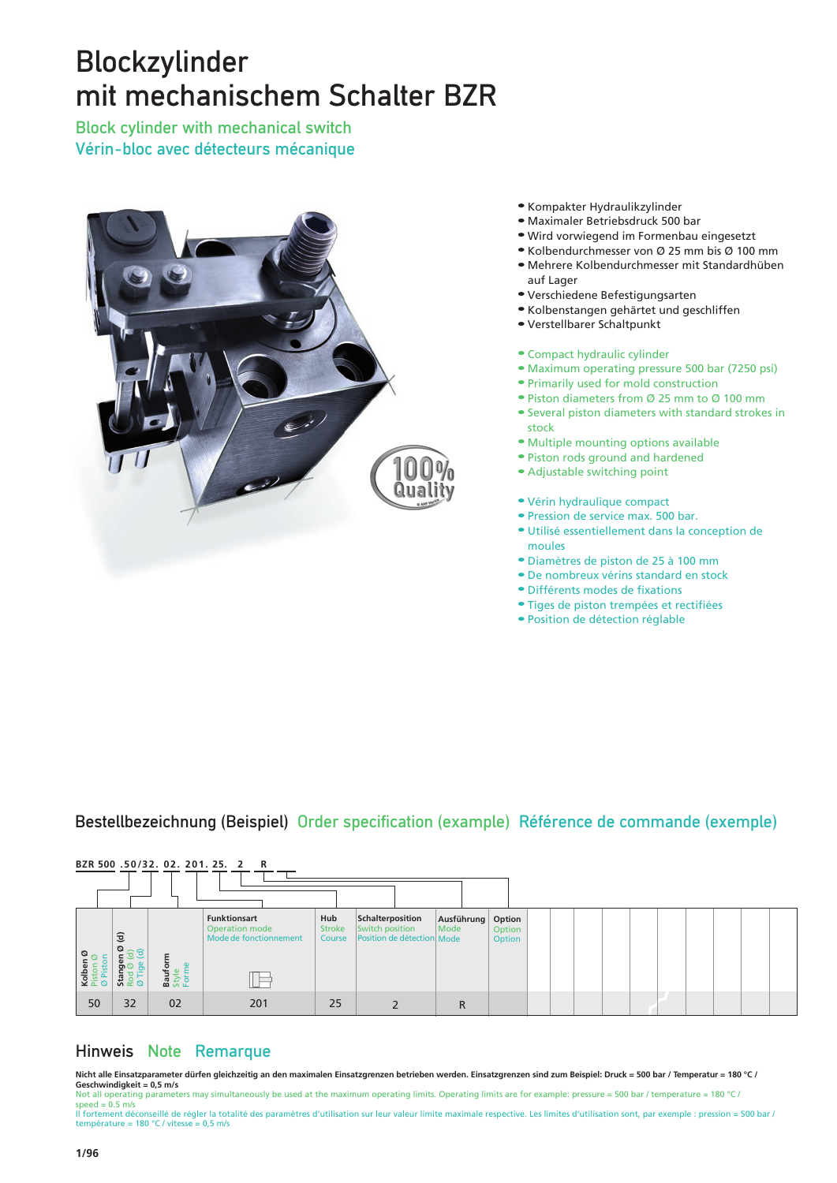# Blockzylinder mit mechanischem Schalter BZR

Block cylinder with mechanical switch Vérin-bloc avec détecteurs mécanique



- Kompakter Hydraulikzylinder
- Maximaler Betriebsdruck 500 bar
- Wird vorwiegend im Formenbau eingesetzt
- <sup>l</sup> Kolbendurchmesser von Ø 25 mm bis Ø 100 mm
- Mehrere Kolbendurchmesser mit Standardhüben auf Lager
- <sup>l</sup> Verschiedene Befestigungsarten
- <sup>l</sup> Kolbenstangen gehärtet und geschliffen
- Verstellbarer Schaltpunkt
- Compact hydraulic cylinder
- Maximum operating pressure 500 bar (7250 psi)
- Primarily used for mold construction
- Piston diameters from Ø 25 mm to Ø 100 mm
- Several piston diameters with standard strokes in stock
- Multiple mounting options available
- Piston rods ground and hardened
- Adjustable switching point
- Vérin hydraulique compact
- **Pression de service max. 500 bar.**
- <sup>l</sup> Utilisé essentiellement dans la conception de moules
- <sup>l</sup> Diamètres de piston de 25 à 100 mm
- **De nombreux vérins standard en stock**
- · Différents modes de fixations
- Tiges de piston trempées et rectifiées
- · Position de détection réglable

#### Bestellbezeichnung (Beispiel) Order specification (example) Référence de commande (exemple)

|                             |                                                     |                                       | BZR 500 .50/32, 02, 201, 25, 2 R                                |                         |                                                                   |                             |                  |  |  |  |  |
|-----------------------------|-----------------------------------------------------|---------------------------------------|-----------------------------------------------------------------|-------------------------|-------------------------------------------------------------------|-----------------------------|------------------|--|--|--|--|
|                             |                                                     |                                       |                                                                 |                         |                                                                   |                             |                  |  |  |  |  |
|                             |                                                     |                                       |                                                                 |                         |                                                                   |                             |                  |  |  |  |  |
| ø<br><b>Voll</b><br>$\circ$ | $\mathbf{\widehat{z}}$<br>Stange<br>Rod Ø<br>Ø Tige | <b>Bauforr</b><br>Style<br>Forme<br>e | <b>Funktionsart</b><br>Operation mode<br>Mode de fonctionnement | Hub<br>Stroke<br>Course | Schalterposition<br>Switch position<br>Position de détection Mode | Ausführung   Option<br>Mode | Option<br>Option |  |  |  |  |
| 50                          | 32                                                  | 02                                    | 201                                                             | 25                      |                                                                   | R                           |                  |  |  |  |  |

#### Hinweis Note Remarque

**Nicht alle Einsatzparameter dürfen gleichzeitig an den maximalen Einsatzgrenzen betrieben werden. Einsatzgrenzen sind zum Beispiel: Druck = 500 bar / Temperatur = 180 °C / Geschwindigkeit = 0,5 m/s**

Not all operating parameters may simultaneously be used at the maximum operating limits. Operating limits are for example: pressure = 500 bar / temperature = 180 °C /  $speed = 0.5$  m/s

Il fortement déconseillé de régler la totalité des paramètres d'utilisation sur leur valeur limite maximale respective. Les limites d'utilisation sont, par exemple : pression = 500 bar / température = 180 °C / vitesse = 0,5 m/s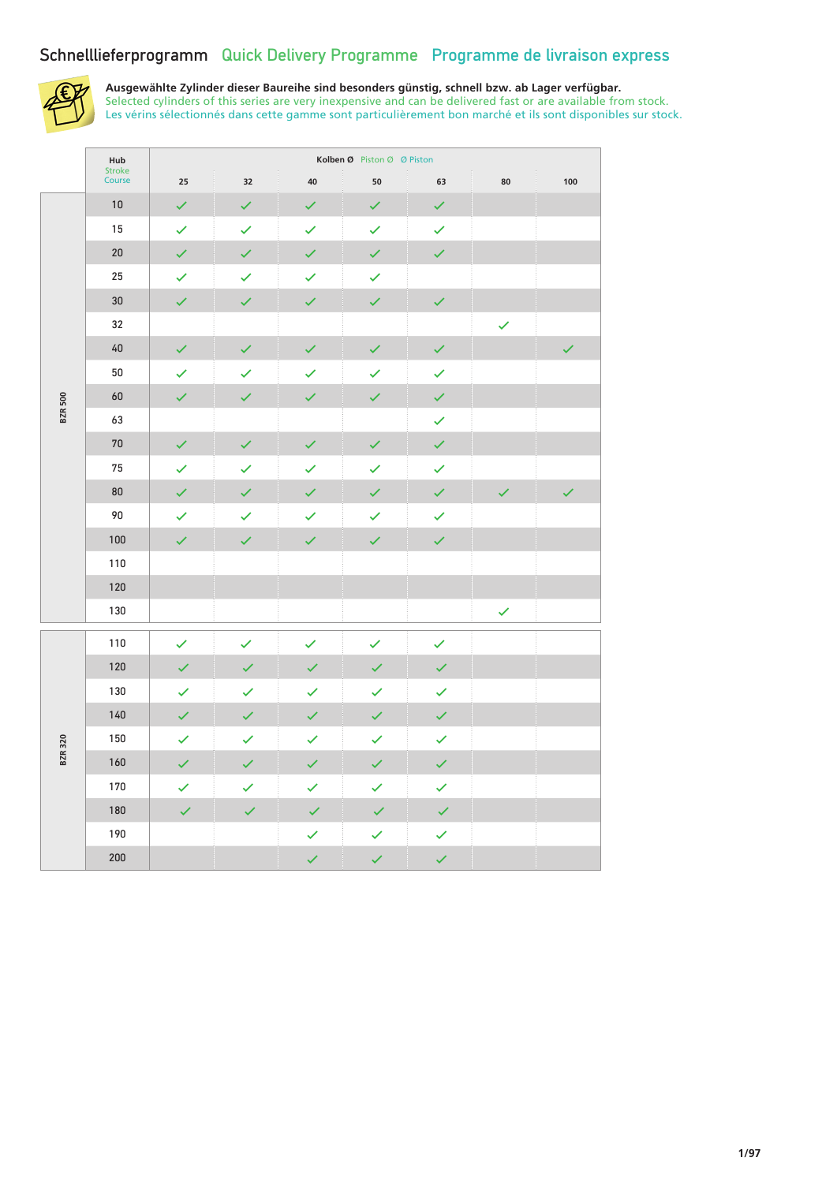#### Schnelllieferprogramm Quick Delivery Programme Programme de livraison express



**Ausgewählte Zylinder dieser Baureihe sind besonders günstig, schnell bzw. ab Lager verfügbar.** Selected cylinders of this series are very inexpensive and can be delivered fast or are available from stock. Les vérins sélectionnés dans cette gamme sont particulièrement bon marché et ils sont disponibles sur stock.

|                | Hub<br>Stroke |              |              |              | Kolben Ø Piston Ø Ø Piston |              |              |              |
|----------------|---------------|--------------|--------------|--------------|----------------------------|--------------|--------------|--------------|
|                | Course        | 25           | 32           | 40           | 50                         | 63           | 80           | 100          |
|                | 10            | $\checkmark$ | ✓            | $\checkmark$ | $\checkmark$               | $\checkmark$ |              |              |
|                | 15            | $\checkmark$ | ✓            | $\checkmark$ | $\checkmark$               | ✓            |              |              |
|                | $20\,$        | $\checkmark$ | $\checkmark$ | $\checkmark$ | $\checkmark$               | $\checkmark$ |              |              |
|                | 25            | $\checkmark$ | ✓            | $\checkmark$ | $\checkmark$               |              |              |              |
|                | 30            | $\checkmark$ | $\checkmark$ | $\checkmark$ | $\checkmark$               | $\checkmark$ |              |              |
|                | 32            |              |              |              |                            |              | $\checkmark$ |              |
|                | 40            | $\checkmark$ | $\checkmark$ | $\checkmark$ | $\checkmark$               | $\checkmark$ |              | $\checkmark$ |
|                | 50            | $\checkmark$ | $\checkmark$ | $\checkmark$ | $\checkmark$               | $\checkmark$ |              |              |
| <b>BZR 500</b> | 60            | $\checkmark$ | $\checkmark$ | $\checkmark$ | $\checkmark$               | $\checkmark$ |              |              |
|                | 63            |              |              |              |                            | $\checkmark$ |              |              |
|                | 70            | $\checkmark$ | $\checkmark$ | $\checkmark$ | $\checkmark$               | $\checkmark$ |              |              |
|                | 75            | $\checkmark$ | $\checkmark$ | $\checkmark$ | $\checkmark$               | $\checkmark$ |              |              |
|                | 80            | $\checkmark$ | ✓            | ✓            | $\checkmark$               | $\checkmark$ | ✓            | $\checkmark$ |
|                | 90            | $\checkmark$ | $\checkmark$ | $\checkmark$ | $\checkmark$               | ✓            |              |              |
|                | 100           | $\checkmark$ | $\checkmark$ | $\checkmark$ | $\checkmark$               | $\checkmark$ |              |              |
|                | 110           |              |              |              |                            |              |              |              |
|                | 120           |              |              |              |                            |              |              |              |
|                | 130           |              |              |              |                            |              | $\checkmark$ |              |
|                | 110           | $\checkmark$ | ✓            | ✓            | $\checkmark$               | $\checkmark$ |              |              |
|                | 120           | $\checkmark$ | $\checkmark$ | $\checkmark$ | $\checkmark$               | $\checkmark$ |              |              |
|                | 130           | $\checkmark$ | $\checkmark$ | ✓            | $\checkmark$               | $\checkmark$ |              |              |
|                | 140           | $\checkmark$ | $\checkmark$ | $\checkmark$ | $\checkmark$               | $\checkmark$ |              |              |
|                | 150           | $\checkmark$ | $\checkmark$ | $\checkmark$ | $\checkmark$               | $\checkmark$ |              |              |
| <b>BZR 320</b> | 160           | $\checkmark$ | ✓            | $\checkmark$ | $\checkmark$               | $\checkmark$ |              |              |
|                | 170           | $\checkmark$ | $\checkmark$ | ✓            | $\checkmark$               | $\checkmark$ |              |              |
|                | 180           | $\checkmark$ | ✓            | $\checkmark$ | $\checkmark$               | ✓            |              |              |
|                | 190           |              |              | ✓            | $\checkmark$               | $\checkmark$ |              |              |
|                | 200           |              |              | $\checkmark$ | $\checkmark$               | $\checkmark$ |              |              |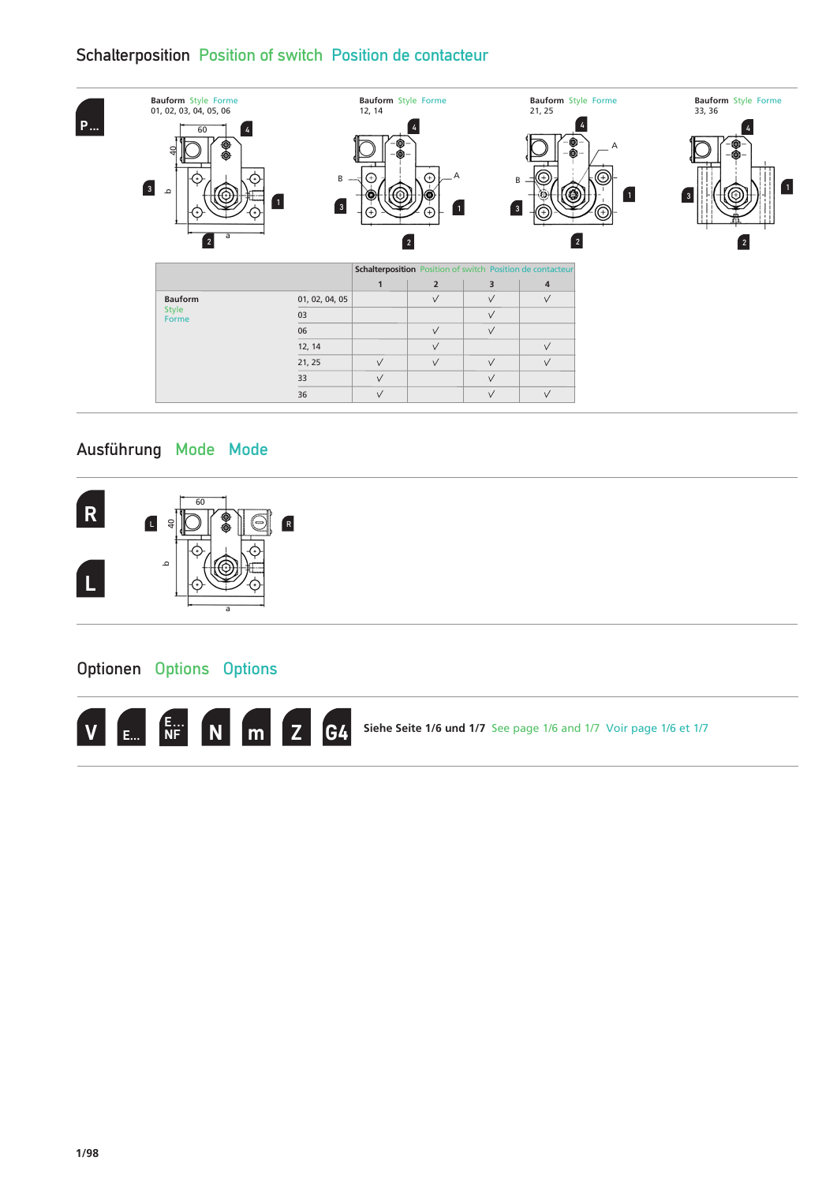#### Schalterposition Position of switch Position de contacteur



#### Ausführung Mode Mode



Optionen Options Options



**Siehe Seite 1/6 und 1/7** See page 1/6 and 1/7 Voir page 1/6 et 1/7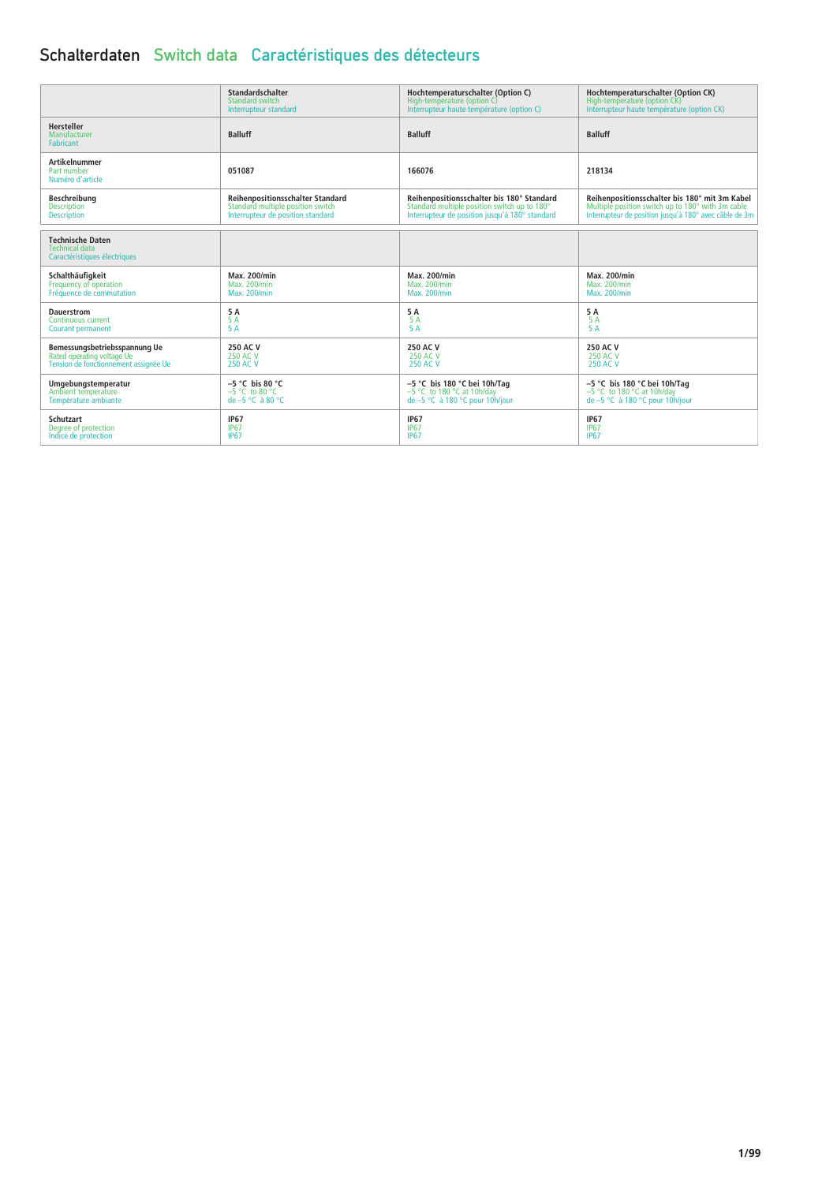# Schalterdaten Switch data Caractéristiques des détecteurs

|                                                                                  | Standardschalter                        | Hochtemperaturschalter (Option C)              | Hochtemperaturschalter (Option CK)                     |
|----------------------------------------------------------------------------------|-----------------------------------------|------------------------------------------------|--------------------------------------------------------|
|                                                                                  | Standard switch                         | High-temperature (option C)                    | High-temperature (option CK)                           |
|                                                                                  | Interrupteur standard                   | Interrupteur haute température (option C)      | Interrupteur haute température (option CK)             |
| <b>Hersteller</b><br>Manufacturer<br><b>Fabricant</b>                            | <b>Balluff</b>                          | <b>Balluff</b>                                 | <b>Balluff</b>                                         |
| <b>Artikelnummer</b><br>Part number<br>Numéro d'article                          | 051087                                  | 166076                                         | 218134                                                 |
| Beschreibung                                                                     | <b>Reihenpositionsschalter Standard</b> | Reihenpositionsschalter bis 180° Standard      | Reihenpositionsschalter bis 180° mit 3m Kabel          |
| <b>Description</b>                                                               | Standard multiple position switch       | Standard multiple position switch up to 180°   | Multiple position switch up to 180° with 3m cable      |
| <b>Description</b>                                                               | Interrupteur de position standard       | Interrupteur de position jusqu'à 180° standard | Interrupteur de position jusqu'à 180° avec câble de 3m |
| <b>Technische Daten</b><br><b>Technical data</b><br>Caractéristiques électriques |                                         |                                                |                                                        |
| Schalthäufigkeit                                                                 | <b>Max. 200/min</b>                     | <b>Max. 200/min</b>                            | <b>Max. 200/min</b>                                    |
| Frequency of operation                                                           | <b>Max. 200/min</b>                     | <b>Max. 200/min</b>                            | <b>Max. 200/min</b>                                    |
| Fréquence de commutation                                                         | <b>Max. 200/min</b>                     | <b>Max. 200/min</b>                            | <b>Max. 200/min</b>                                    |
| <b>Dauerstrom</b>                                                                | 5 A                                     | 5 A                                            | 5 A                                                    |
| <b>Continuous current</b>                                                        | 5 A                                     | 5 A                                            | 5 A                                                    |
| <b>Courant permanent</b>                                                         | 5 A                                     | 5 A                                            | 5 A                                                    |
| Bemessungsbetriebsspannung Ue                                                    | 250 AC V                                | <b>250 AC V</b>                                | 250 AC V                                               |
| Rated operating voltage Ue                                                       | 250 AC V                                | 250 AC V                                       | 250 AC V                                               |
| Tension de fonctionnement assignée Ue                                            | <b>250 AC V</b>                         | <b>250 AC V</b>                                | 250 AC V                                               |
| Umgebungstemperatur                                                              | $-5$ °C bis 80 °C                       | -5 °C bis 180 °C bei 10h/Tag                   | -5 °C bis 180 °C bei 10h/Tag                           |
| Ambient temperature                                                              | $-5$ °C to 80 °C                        | -5 °C to 180 °C at 10h/day                     | $-5$ °C to 180 °C at 10h/dav                           |
| Température ambiante                                                             | de -5 °C à 80 °C                        | de -5 °C à 180 °C pour 10h/jour                | de -5 °C à 180 °C pour 10h/jour                        |
| <b>Schutzart</b>                                                                 | <b>IP67</b>                             | <b>IP67</b>                                    | <b>IP67</b>                                            |
| Degree of protection                                                             | <b>IP67</b>                             | <b>IP67</b>                                    | <b>IP67</b>                                            |
| Indice de protection                                                             | <b>IP67</b>                             | <b>IP67</b>                                    | <b>IP67</b>                                            |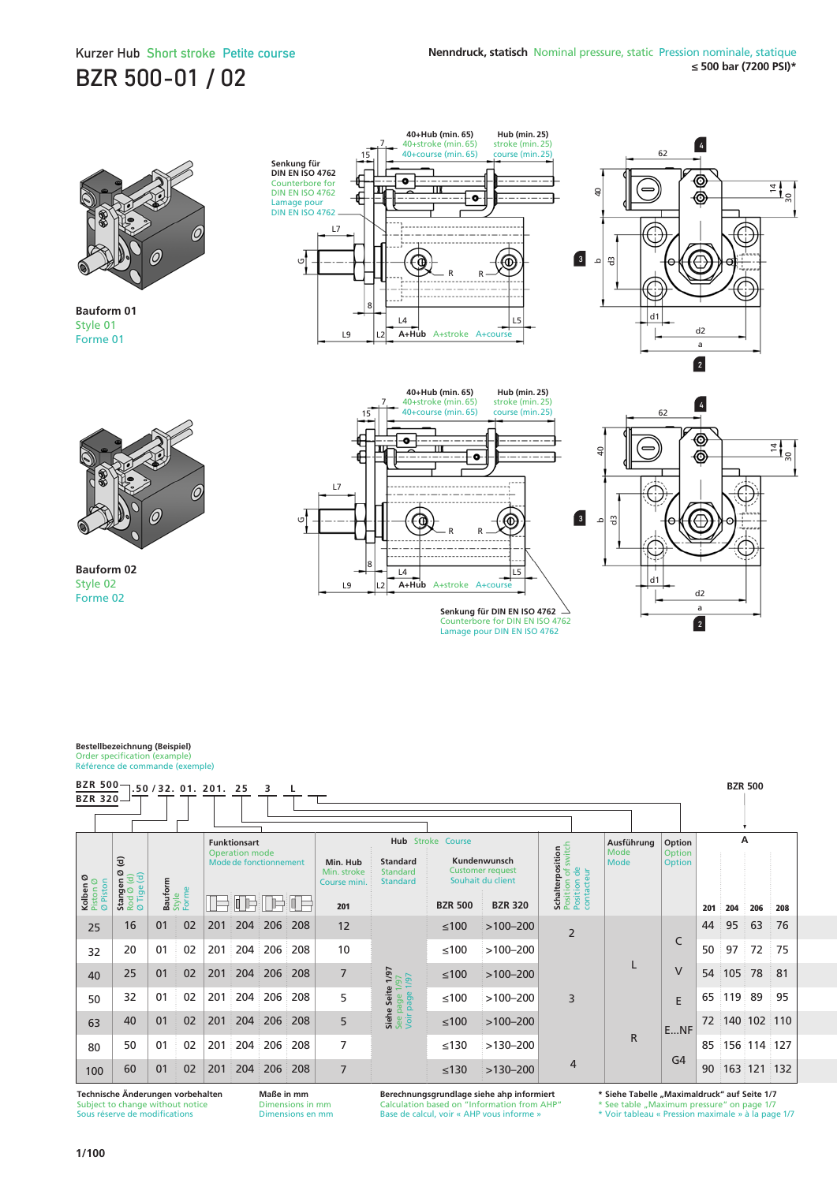### Kurzer Hub Short stroke Petite course BZR 500-01 / 02



**Bauform 01** Style 01 Forme 01







**Bauform 02** Style 02 Forme 02



Counterbore for DIN EN ISO 4762 Lamage pour DIN EN ISO 4762



**Bestellbezeichnung (Beispiel)** Order specification (example) Référence de commande (exemple)

| <b>BZR 500-</b><br><b>BZR 320</b> |                                                        |         |                | .50 / 32.01.201.25 |                                                                        | 3   |     |                                         |                                                       |                          |                                                              |                                                                                                |                            |                            |     |     | <b>BZR 500</b> |     |
|-----------------------------------|--------------------------------------------------------|---------|----------------|--------------------|------------------------------------------------------------------------|-----|-----|-----------------------------------------|-------------------------------------------------------|--------------------------|--------------------------------------------------------------|------------------------------------------------------------------------------------------------|----------------------------|----------------------------|-----|-----|----------------|-----|
| Kolben Ø<br>Piston Ø<br>Ø Piston  | ල<br>Ø<br>$\widehat{\sigma}$<br>Stangen (<br>Rod Ø (d) | Bauform |                |                    | <b>Funktionsart</b><br><b>Operation mode</b><br>Mode de fonctionnement |     |     | Min. Hub<br>Min. stroke<br>Course mini. | <b>Standard</b><br><b>Standard</b><br><b>Standard</b> | <b>Hub</b> Stroke Course | Kundenwunsch<br><b>Customer request</b><br>Souhait du client | switch<br>Schalterposition<br>$\frac{e}{\sigma}$<br>Position of :<br>Position de<br>contacteur | Ausführung<br>Mode<br>Mode | Option<br>Option<br>Option |     |     | А              |     |
|                                   | Rod Ø (<br>Ø Tige                                      |         | Style<br>Forme |                    |                                                                        |     |     | 201                                     |                                                       | <b>BZR 500</b>           | <b>BZR 320</b>                                               |                                                                                                |                            |                            | 201 | 204 | 206            | 208 |
| 25                                | 16                                                     | 01      | 02             | 201                | 204                                                                    | 206 | 208 | 12                                      |                                                       | $≤100$                   | $>100 - 200$                                                 | $\overline{2}$                                                                                 |                            |                            | 44  | 95  | 63             | 76  |
| 32                                | 20                                                     | 01      | 02             | 201                | 204                                                                    | 206 | 208 | 10                                      |                                                       | $≤100$                   | $>100 - 200$                                                 |                                                                                                |                            | C                          | 50  | 97  | 72             | 75  |
| 40                                | 25                                                     | 01      | 02             | 201                | 204                                                                    | 206 | 208 | $\overline{7}$                          | 1/97<br>1/97<br>5                                     | $≤100$                   | $>100 - 200$                                                 |                                                                                                |                            | $\vee$                     | 54  | 105 | 78             | 81  |
| 50                                | 32                                                     | 01      | 02             | 201                | 204                                                                    | 206 | 208 | 5                                       | Siehe Seite<br>See page 1/9<br>Voir page 1/           | $≤100$                   | $>100 - 200$                                                 | 3                                                                                              |                            | E                          | 65  | 119 | 89             | 95  |
| 63                                | 40                                                     | 01      | 02             | 201                | 204                                                                    | 206 | 208 | 5                                       |                                                       | $≤100$                   | $>100 - 200$                                                 |                                                                                                |                            | ENF                        | 72  |     | 140 102        | 110 |
| 80                                | 50                                                     | 01      | 02             | 201                | 204                                                                    | 206 | 208 | $\overline{7}$                          |                                                       | $≤130$                   | $>130 - 200$                                                 |                                                                                                | $\mathsf{R}$               |                            | 85  |     | 156 114        | 127 |
| 100                               | 60                                                     | 01      | 02             | 201                | 204                                                                    | 206 | 208 | $\overline{7}$                          |                                                       | $≤130$                   | $>130-200$                                                   | $\overline{4}$                                                                                 |                            | G <sub>4</sub>             | 90  | 163 | 121            | 132 |

**Technische Änderungen vorbehalten** Subject to change without notice Sous réserve de modifications

**Maße in mm** Dimensions in mm Dimensions en mm **Berechnungsgrundlage siehe ahp informiert**  Calculation based on "Information from AHP" Base de calcul, voir « AHP vous informe »

**\* Siehe Tabelle "Maximaldruck" auf Seite 1/7**<br>\* See table "Maximum pressure" on page 1/7<br>\* Voir tableau « Pression maximale » à la page 1/7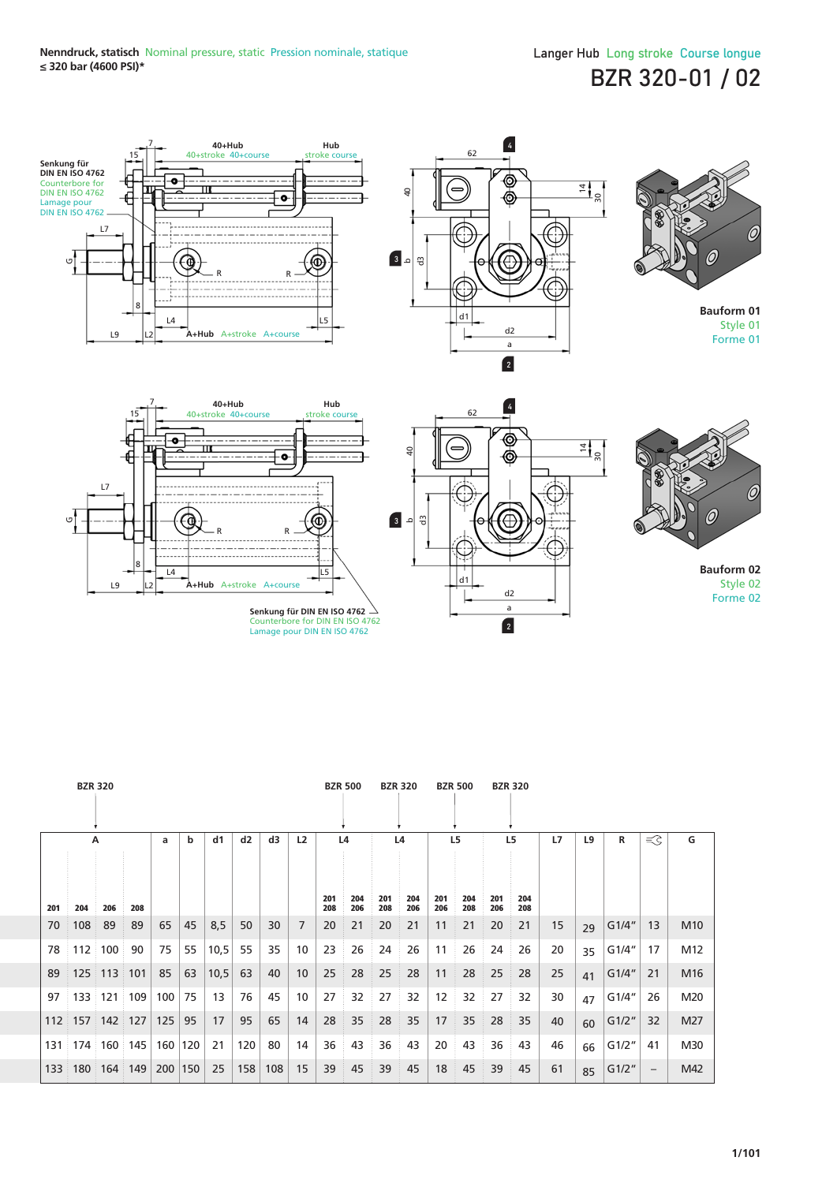# Langer Hub Long stroke Course longue BZR 320-01 / 02







**Bauform 01** Style 01 Forme 01







**Bauform 02** Style 02 Forme 02

|     | <b>BZR 320</b> |     |         |     |     |      |     |     |    |     | <b>BZR 500</b> | <b>BZR 320</b> |     |     | <b>BZR 500</b> | <b>BZR 320</b> |     |    |    |       |                   |                 |
|-----|----------------|-----|---------|-----|-----|------|-----|-----|----|-----|----------------|----------------|-----|-----|----------------|----------------|-----|----|----|-------|-------------------|-----------------|
|     |                |     |         |     |     |      |     |     |    |     |                |                |     |     |                |                |     |    |    |       |                   |                 |
|     | A              |     |         | a   | b   | d1   | d2  | d3  | L2 |     | L4             |                | L4  |     | L5             | L <sub>5</sub> |     | L7 | L9 | R     | $\preccurlyeq$    | G               |
|     |                |     |         |     |     |      |     |     |    |     |                |                |     |     |                |                |     |    |    |       |                   |                 |
|     |                |     |         |     |     |      |     |     |    | 201 | 204            | 201            | 204 | 201 | 204            | 201            | 204 |    |    |       |                   |                 |
| 201 | 204            | 206 | 208     |     |     |      |     |     |    | 208 | 206            | 208            | 206 | 206 | 208            | 206            | 208 |    |    |       |                   |                 |
| 70  | 108            | 89  | 89      | 65  | 45  | 8,5  | 50  | 30  | 7  | 20  | 21             | 20             | 21  | 11  | 21             | 20             | 21  | 15 | 29 | G1/4" | 13                | M <sub>10</sub> |
| 78  | 112            | 100 | 90      | 75  | 55  | 10,5 | 55  | 35  | 10 | 23  | 26             | 24             | 26  | 11  | 26             | 24             | 26  | 20 | 35 | G1/4" | 17                | M <sub>12</sub> |
| 89  | 125            | 113 | 101     | 85  | 63  | 10,5 | 63  | 40  | 10 | 25  | 28             | 25             | 28  | 11  | 28             | 25             | 28  | 25 | 41 | G1/4" | 21                | M16             |
| 97  | 133 121        |     | 109     | 100 | 75  | 13   | 76  | 45  | 10 | 27  | 32             | 27             | 32  | 12  | 32             | 27             | 32  | 30 | 47 | G1/4" | 26                | M20             |
|     | 112:157        | 142 | 127     | 125 | 95  | 17   | 95  | 65  | 14 | 28  | 35             | 28             | 35  | 17  | 35             | 28             | 35  | 40 | 60 | G1/2" | 32                | M27             |
|     | 131 174        |     | 160 145 | 160 | 120 | 21   | 120 | 80  | 14 | 36  | 43             | 36             | 43  | 20  | 43             | 36             | 43  | 46 | 66 | G1/2" | 41                | M30             |
| 133 | 180            | 164 | 149     | 200 | 150 | 25   | 158 | 108 | 15 | 39  | 45             | 39             | 45  | 18  | 45             | 39             | 45  | 61 | 85 | G1/2" | $\qquad \qquad -$ | M42             |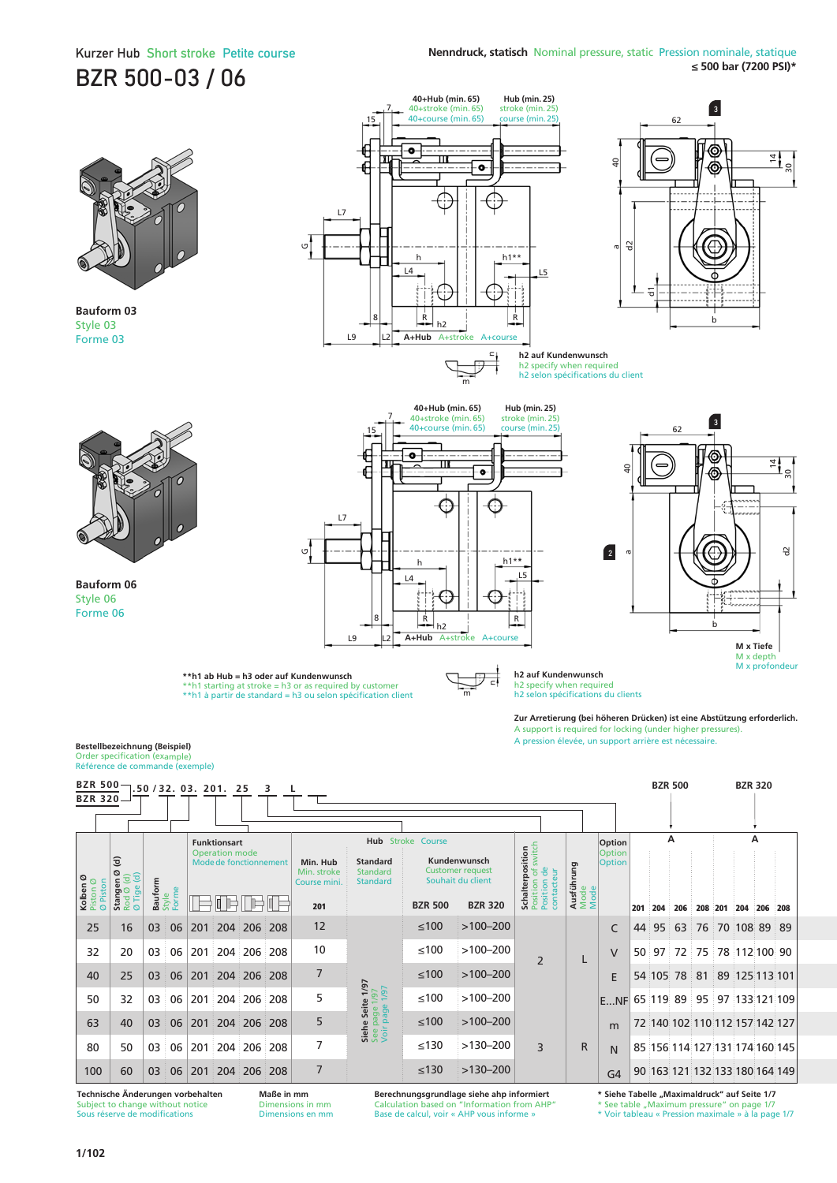### Kurzer Hub Short stroke Petite course BZR 500-03 / 06



**Bauform 03** Style 03



**Bauform 06** Style 06 Forme 06







h2 specify when required h2 selon spécifications du client





**\*\*h1 ab Hub = h3 oder auf Kundenwunsch** \*\* h1 starting at stroke = h3 or as required by customer \*\* h1 à partir de standard = h3 ou selon spécification client

n

m

**h2 auf Kundenwunsch** h2 specify when required h2 selon spécifications du clients

**Zur Arretierung (bei höheren Drücken) ist eine Abstützung erforderlich.** A support is required for locking (under higher pressures). A pression élevée, un support arrière est nécessaire.

**Bestellbezeichnung (Beispiel)**<br>Order specification (example)<br>Référence de commande (exemple)

|                                                                                                                                                                                                                                                                                                                                                                                                                                                                                                                                                                                   | А<br>A                         |
|-----------------------------------------------------------------------------------------------------------------------------------------------------------------------------------------------------------------------------------------------------------------------------------------------------------------------------------------------------------------------------------------------------------------------------------------------------------------------------------------------------------------------------------------------------------------------------------|--------------------------------|
| <b>Hub</b> Stroke Course<br><b>Funktionsart</b><br>Option<br>switch<br>position<br><b>Operation mode</b><br>Option<br>$\widehat{\sigma}$<br>Kundenwunsch<br>Mode de fonctionnement<br>Min. Hub<br><b>Standard</b><br>Option<br>Ausführung<br>Mode<br>Mode<br>$\mathbf \omega$<br><b>Customer request</b><br>Standard<br>Min. stroke<br>ø<br>ਠ<br>$\widehat{\sigma}$<br>Kolben Ø<br>Piston Ø<br>Souhait du client<br>Bauform<br><b>Stangen</b><br>Course mini.<br><b>Standard</b><br>Schalter<br>Ø Piston<br>Position<br>Position<br>Rod Ø (<br>Ø Tige i<br>Style<br>Forme<br>cont |                                |
| $\Box$<br>⊫<br><b>BZR 500</b><br><b>BZR 320</b><br>201<br>204 206<br>201                                                                                                                                                                                                                                                                                                                                                                                                                                                                                                          | 208 201 204 206<br>- 208       |
| 12<br>$>100 - 200$<br>$≤100$<br>204 206 208<br>25<br>06<br>16<br>201<br>95 <sup>1</sup><br>03<br>44<br>C                                                                                                                                                                                                                                                                                                                                                                                                                                                                          | 76 70 108 89 89<br>63          |
| 10<br>≤100<br>$>100 - 200$<br>32<br>20<br>204 206<br>208<br>06<br>201<br>50<br>03<br>$\vee$<br>2                                                                                                                                                                                                                                                                                                                                                                                                                                                                                  | 97 72 75 78 112 100 90         |
| $\overline{7}$<br>$≤100$<br>$>100 - 200$<br>40<br>25<br>204 206 208<br>03<br>06<br>201<br>F.                                                                                                                                                                                                                                                                                                                                                                                                                                                                                      | 54 105 78 81 89 125 113 101    |
| Siehe Seite 1/97<br>See page 1/97<br>Voir page 1/97<br>5<br>≤100<br>$>100 - 200$<br>32<br>50<br>204 206<br>06<br>201<br>208<br>ENF 65 119 89<br>03                                                                                                                                                                                                                                                                                                                                                                                                                                | 95 97 133 121 109              |
| 5<br>$≤100$<br>$>100 - 200$<br>63<br>204 206 208<br>40<br>06<br>201<br>03<br>m                                                                                                                                                                                                                                                                                                                                                                                                                                                                                                    | 72 140 102 110 112 157 142 127 |
| 7<br>≤130<br>$>130-200$<br>$\mathsf{R}$<br>3<br>80<br>50<br>201<br>204 206<br>06<br>208<br>03<br>N                                                                                                                                                                                                                                                                                                                                                                                                                                                                                | 85 156 114 127 131 174 160 145 |
| 7<br>$≤130$<br>$>130-200$<br>204<br>206 208<br>100<br>60<br>06<br>201<br>03<br>G <sub>4</sub>                                                                                                                                                                                                                                                                                                                                                                                                                                                                                     | 90 163 121 132 133 180 164 149 |

**Technische Änderungen vorbehalten** Subject to change without notice Sous réserve de modifications

**Maße in mm** Dimensions in mm Dimensions en mm **Berechnungsgrundlage siehe ahp informiert**  Calculation based on "Information from AHP" Base de calcul, voir « AHP vous informe »

**\* Siehe Tabelle "Maximaldruck" auf Seite 1/7**<br>**\*** See table "Maximum pressure" on page 1/7

\* Voir tableau « Pression maximale » à la page 1/7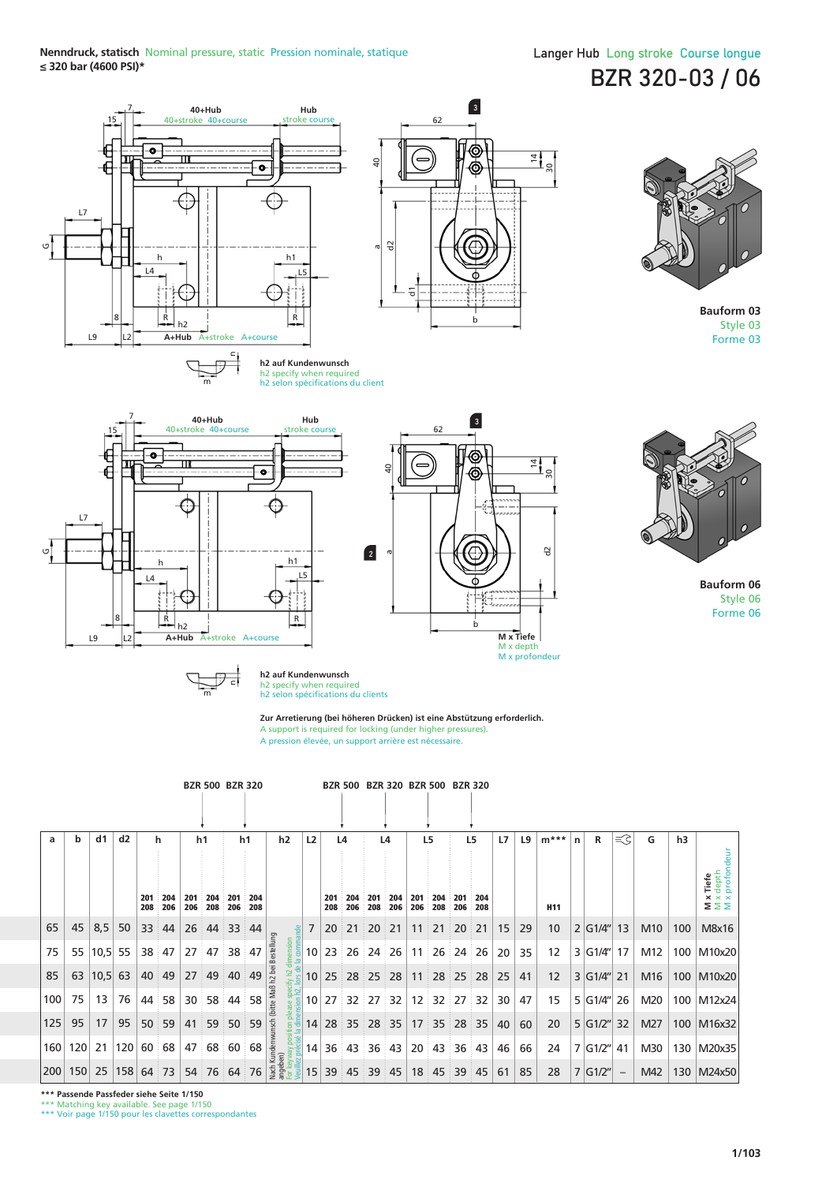**Nenndruck, statisch** Nominal pressure, staticPression nominale, statique **≤ 320 bar (4600 PSI)\***

# Langer Hub Long stroke Course longue BZR 320-03 / 06







**Bauform 03** Style 03 Forme 03



**Bauform 06** Style 06 Forme 06





m

**h2 auf Kundenwunsch** h2 specify when required h2 selon spécifications du clients

**Zur Arretierung (bei höheren Drücken) ist eine Abstützung erforderlich.** A support is required for locking (under higher pressures). A pression élevée, un support arrière est nécessaire.

|     |     |             |     |            |            |            |            | <b>BZR 500 BZR 320</b> |            |                     |                 |                 | <b>BZR 500</b> |            |            |                 | BZR 320 BZR 500 BZR 320 |            |            |    |    |                 |   |            |                          |                 |                |                                                    |
|-----|-----|-------------|-----|------------|------------|------------|------------|------------------------|------------|---------------------|-----------------|-----------------|----------------|------------|------------|-----------------|-------------------------|------------|------------|----|----|-----------------|---|------------|--------------------------|-----------------|----------------|----------------------------------------------------|
| a   | b   | d1          | d2  |            | h          |            | h1         | h1                     |            | h <sub>2</sub>      | L2              |                 | L <sub>4</sub> |            | L4         |                 | L5                      |            | L5         | L7 | L9 | $m***$          | n | R          | $\equiv$ $\uparrow$      | G               | h <sub>3</sub> |                                                    |
|     |     |             |     | 201<br>208 | 204<br>206 | 201<br>206 | 204<br>208 | 201<br>206             | 204<br>208 |                     |                 | 201<br>208      | 204<br>206     | 201<br>208 | 204<br>206 | 201<br>206      | 204<br>208              | 201<br>206 | 204<br>208 |    |    | H <sub>11</sub> |   |            |                          |                 |                | <b>x Tiefe</b><br>x depth<br>x profondeur<br>Σ Σ Σ |
| 65  | 45  | 8,5         | 50  | 33         | 44         | 26         | 44         | 33                     | 44         | 붣                   |                 | 20              | 21             | 20         | 21         | 11              | 21                      | 20         | 21         | 15 | 29 | 10              |   | 2  G1/4"   | 13                       | M <sub>10</sub> | 100            | M8x16                                              |
| 75  | 55  | $10,5$ 55   |     | 38         | 47         | 27         | 47         | 38                     | 47         | estellung           | 10 <sup>1</sup> | 23              | 26             | 24         | 26         | 11              | 26 <sup>2</sup>         | 24         | 26         | 20 | 35 | 12              |   | 3  G1/4"   | 17                       | M12             | 100            | M10x20                                             |
| 85  | 63  | $ 10,5 $ 63 |     | 40         | 49         | 27         | 49         | 40 49                  |            | h <sub>2</sub> bei  | 10 <sup>°</sup> | 25              | 28             | : 25       | 28         | 11              | 28 25                   |            | 28         | 25 | 41 | 12              |   | 3 G1/4" 21 |                          | M16             | 100            | M10x20                                             |
| 100 | 75  | 13          | 76  | 44         | 58         | 30         | 58         | 44                     | 58         | (bitte Maß          | 10 <sup>1</sup> | 27 <sup>1</sup> | 32             | : 27       | 32         | 12 <sup>1</sup> | 32 27                   |            | 32         | 30 | 47 | 15              |   | 5 G1/4"    | 26                       | M20             | 100            | M12x24                                             |
| 125 | 95  | 17          | 95  | 50         | 59         | 41         | 59         | 50                     | 59         | nsch                | 14              | 28              | 35             | 28         | 35         | 17              | 35 <sup>1</sup>         | 28         | 35         | 40 | 60 | 20              |   | 5 G1/2"    | 32                       | M27             | 100            | M16x32                                             |
| 160 | 120 | 21          | 120 | 60         | 68         | 47         |            | 68 60                  | 68         | Kundenw             | 14              | 36              | 43             | 36         | 43         | 20              | 43                      | 36         | 43         | 46 | 66 | 24              |   | 7 G1/2"    | 41                       | M30             | 130            | M20x35                                             |
| 200 | 150 | 25          | 158 | 64         | 73         | 54         | 76         | 64                     | 76         | Mad<br>René<br>Seri | 15              | 39              | 45             | 39         | 45         | 18              | 45                      | 39         | 45         | 61 | 85 | 28              |   | 7 G1/2"    | $\overline{\phantom{m}}$ | M42             | 130            | M24x50                                             |

**\*\*\* Passende Passfeder siehe Seite 1/150** \*\*\* Matching key available. See page 1/150 \*\*\* Voir page 1/150 pour les clavettes correspondantes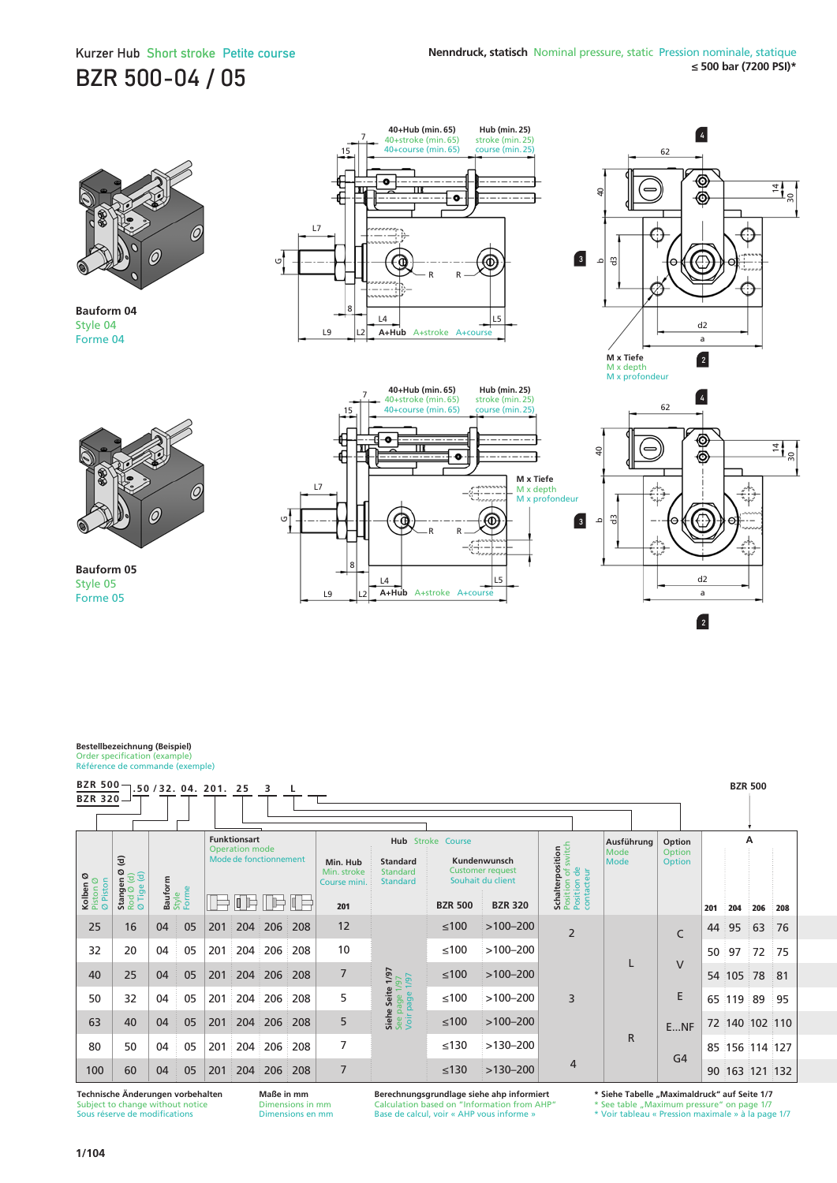# Kurzer Hub Short stroke Petite course BZR 500-04 / 05



**Bauform 04** Style 04



**Bauform 05** Style 05 Forme 05









**Bestellbezeichnung (Beispiel)**

Order specification (example) Référence de commande (exemple)

| <b>BZR 500-</b><br><b>BZR 320</b>                                                                      |                                                                                        |         |                | .50 / 32. 04. 201. 25 |                                                                        | 3          | L                                    |                                         |                                                       |                          |                                                                                                                                       |                                                                                       |                                                                                                                                                  |                            |     |        | <b>BZR 500</b> |                |
|--------------------------------------------------------------------------------------------------------|----------------------------------------------------------------------------------------|---------|----------------|-----------------------|------------------------------------------------------------------------|------------|--------------------------------------|-----------------------------------------|-------------------------------------------------------|--------------------------|---------------------------------------------------------------------------------------------------------------------------------------|---------------------------------------------------------------------------------------|--------------------------------------------------------------------------------------------------------------------------------------------------|----------------------------|-----|--------|----------------|----------------|
| Kolben Ø<br>Piston Ø<br>Ø Piston                                                                       | $\widehat{\mathbf{c}}$<br>ø<br>$\widehat{\sigma}$<br>Stangen<br>Rod Ø (d)<br>Ø Tige (d | Bauform |                |                       | <b>Funktionsart</b><br><b>Operation mode</b><br>Mode de fonctionnement |            |                                      | Min. Hub<br>Min. stroke<br>Course mini. | <b>Standard</b><br><b>Standard</b><br><b>Standard</b> | <b>Hub</b> Stroke Course | Kundenwunsch<br><b>Customer request</b><br>Souhait du client                                                                          | switch<br>Schalterposition<br>$\bullet$<br>Position of :<br>Position de<br>contacteur | Ausführung<br>Mode<br>Mode                                                                                                                       | Option<br>Option<br>Option |     |        | А              |                |
|                                                                                                        |                                                                                        |         | Style<br>Forme |                       |                                                                        |            |                                      | 201                                     |                                                       | <b>BZR 500</b>           | <b>BZR 320</b>                                                                                                                        |                                                                                       |                                                                                                                                                  |                            | 201 | 204    | 206            | 208            |
| 25                                                                                                     | 16                                                                                     | 04      | 05             | 201                   | 204                                                                    | 206        | 208                                  | 12                                      |                                                       | $≤100$                   | $>100 - 200$                                                                                                                          | $\overline{2}$                                                                        |                                                                                                                                                  | $\mathsf{C}$               | 44  | 95     | 63             | 76             |
| 32                                                                                                     | 20                                                                                     | 04      | 05             | 201                   | 204                                                                    | 206        | 208                                  | 10                                      |                                                       | $≤100$                   | $>100 - 200$                                                                                                                          |                                                                                       |                                                                                                                                                  |                            | 50  | 97     | 72             | 75             |
| 40                                                                                                     | 25                                                                                     | 04      | 05             | 201                   | 204                                                                    | 206        | 208                                  | $\overline{7}$                          | 1/97<br>1/97<br>50                                    | $≤100$                   | $>100 - 200$                                                                                                                          |                                                                                       |                                                                                                                                                  | $\vee$                     |     | 54 105 | 78             | 81             |
| 50                                                                                                     | 32                                                                                     | 04      | 05             | 201                   | 204                                                                    | 206        | 208                                  | 5                                       | Siehe Seite<br>See page 1/9<br>Voir page 1/           | $≤100$                   | $>100 - 200$                                                                                                                          | 3                                                                                     |                                                                                                                                                  | E                          | 65  | 119    | 89             | 95             |
| 63                                                                                                     | 40                                                                                     | 04      | 05             | 201                   | 204                                                                    | 206        | 208                                  | 5                                       |                                                       | $≤100$                   | $>100 - 200$                                                                                                                          |                                                                                       |                                                                                                                                                  | ENF                        | 72  |        | 140 102 110    |                |
| 80                                                                                                     | 50                                                                                     | 04      | 05             | 201                   | 204                                                                    | 206        | 208                                  | 7                                       |                                                       | $≤130$                   | $>130-200$                                                                                                                            |                                                                                       | $\mathsf{R}$                                                                                                                                     |                            | 85  |        | 156 114 127    |                |
| 100                                                                                                    | 60                                                                                     | 04      | 05             | 201                   | 204                                                                    | 206        | 208                                  | 7                                       |                                                       | $≤130$                   | $>130-200$                                                                                                                            | $\overline{4}$                                                                        |                                                                                                                                                  | G4                         |     |        |                | 90 163 121 132 |
| Technische Änderungen vorbehalten<br>Subject to change without notice<br>Sous réserve de modifications |                                                                                        |         |                |                       |                                                                        | Maße in mm | Dimensions in mm<br>Dimensions en mm |                                         |                                                       |                          | Berechnungsgrundlage siehe ahp informiert<br>Calculation based on "Information from AHP"<br>Base de calcul, voir « AHP vous informe » |                                                                                       | * Siehe Tabelle "Maximaldruck" auf Seite 1/7<br>* See table "Maximum pressure" on page 1/7<br>* Voir tableau « Pression maximale » à la page 1/7 |                            |     |        |                |                |

**Maße in mm** Dimensions in mm Dimensions en mm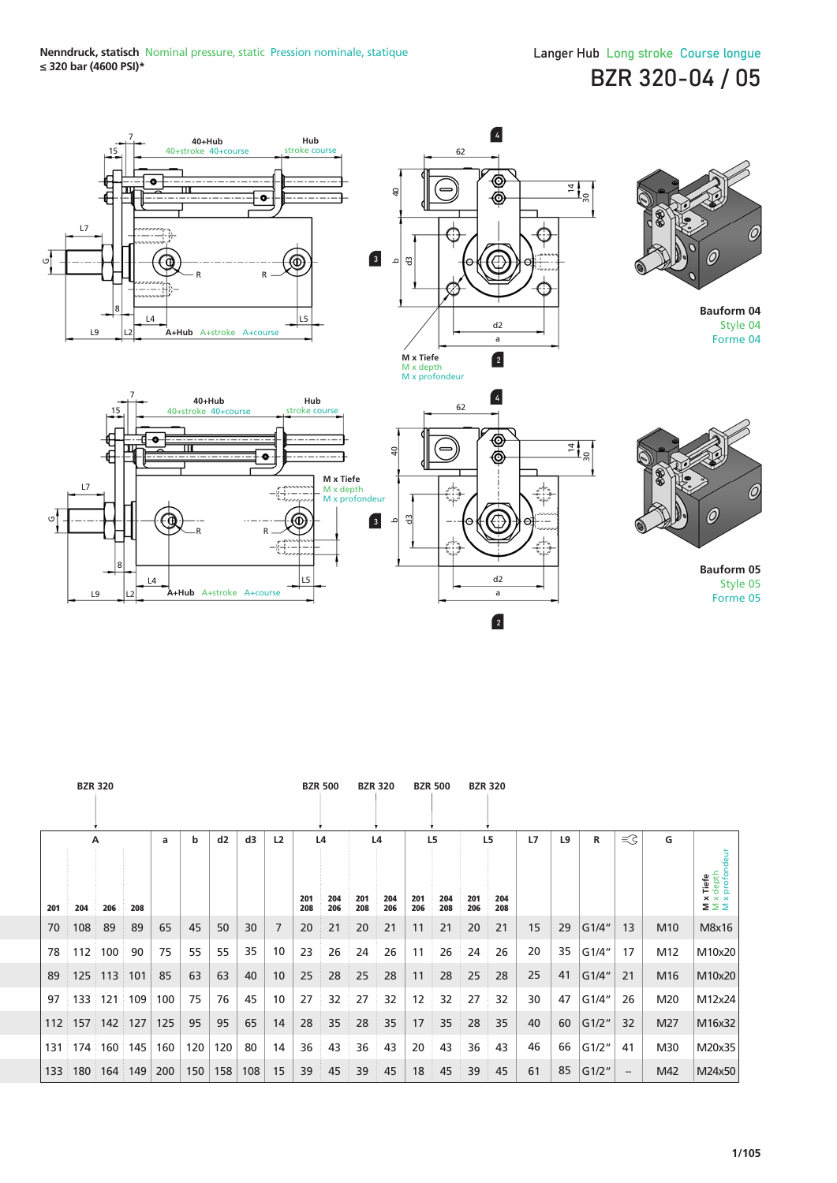**Nenndruck, statisch** Nominal pressure, staticPression nominale, statique **≤ 320 bar (4600 PSI)\***

# Langer Hub Long stroke Course longue BZR 320-04 / 05



|     | <b>BZR 320</b> |     |     |     |     |     |     |                |            | <b>BZR 500</b> |            | <b>BZR 320</b> |            | <b>BZR 500</b> | <b>BZR 320</b> |            |    |    |       |                     |     |                                                                          |
|-----|----------------|-----|-----|-----|-----|-----|-----|----------------|------------|----------------|------------|----------------|------------|----------------|----------------|------------|----|----|-------|---------------------|-----|--------------------------------------------------------------------------|
|     |                |     |     |     |     |     |     |                |            |                |            |                |            |                |                |            |    |    |       |                     |     |                                                                          |
|     | А              |     |     | a   | b   | d2  | d3  | L <sub>2</sub> |            | L4             |            | L4             |            | L <sub>5</sub> |                | L5         | L7 | L9 | R     | $\equiv$ $\uparrow$ | G   |                                                                          |
| 201 | 204            | 206 | 208 |     |     |     |     |                | 201<br>208 | 204<br>206     | 201<br>208 | 204<br>206     | 201<br>206 | 204<br>208     | 201<br>206     | 204<br>208 |    |    |       |                     |     | Tiefe<br><sup>depth</sup><br>profondeur<br>$\times \times \times$<br>ΣΣΣ |
| 70  | 108            | 89  | 89  | 65  | 45  | 50  | 30  | 7              | 20         | 21             | 20         | 21             | 11         | 21             | 20             | 21         | 15 | 29 | G1/4" | 13                  | M10 | M8x16                                                                    |
| 78  | 112            | 100 | 90  | 75  | 55  | 55  | 35  | 10             | 23         | 26             | 24         | 26             | 11         | 26             | 24             | 26         | 20 | 35 | G1/4" | 17                  | M12 | M10x20                                                                   |
| 89  | 125            | 113 | 101 | 85  | 63  | 63  | 40  | 10             | 25         | 28             | 25         | 28             | 11         | 28             | 25             | 28         | 25 | 41 | G1/4" | 21                  | M16 | M10x20                                                                   |
| 97  | 133            | 121 | 109 | 100 | 75  | 76  | 45  | 10             | 27         | 32             | 27         | 32             | 12         | 32             | 27             | 32         | 30 | 47 | G1/4" | 26                  | M20 | M12x24                                                                   |
| 112 | 157            | 142 | 127 | 125 | 95  | 95  | 65  | 14             | 28         | 35             | 28         | 35             | 17         | 35             | 28             | 35         | 40 | 60 | G1/2" | 32                  | M27 | M16x32                                                                   |
| 131 | 174            | 160 | 145 | 160 | 120 | 120 | 80  | 14             | 36         | 43             | 36         | 43             | 20         | 43             | 36             | 43         | 46 | 66 | G1/2" | 41                  | M30 | M20x35                                                                   |
| 133 | 180            | 164 | 149 | 200 | 150 | 158 | 108 | 15             | 39         | 45             | 39         | 45             | 18         | 45             | 39             | 45         | 61 | 85 | G1/2" |                     | M42 | M24x50                                                                   |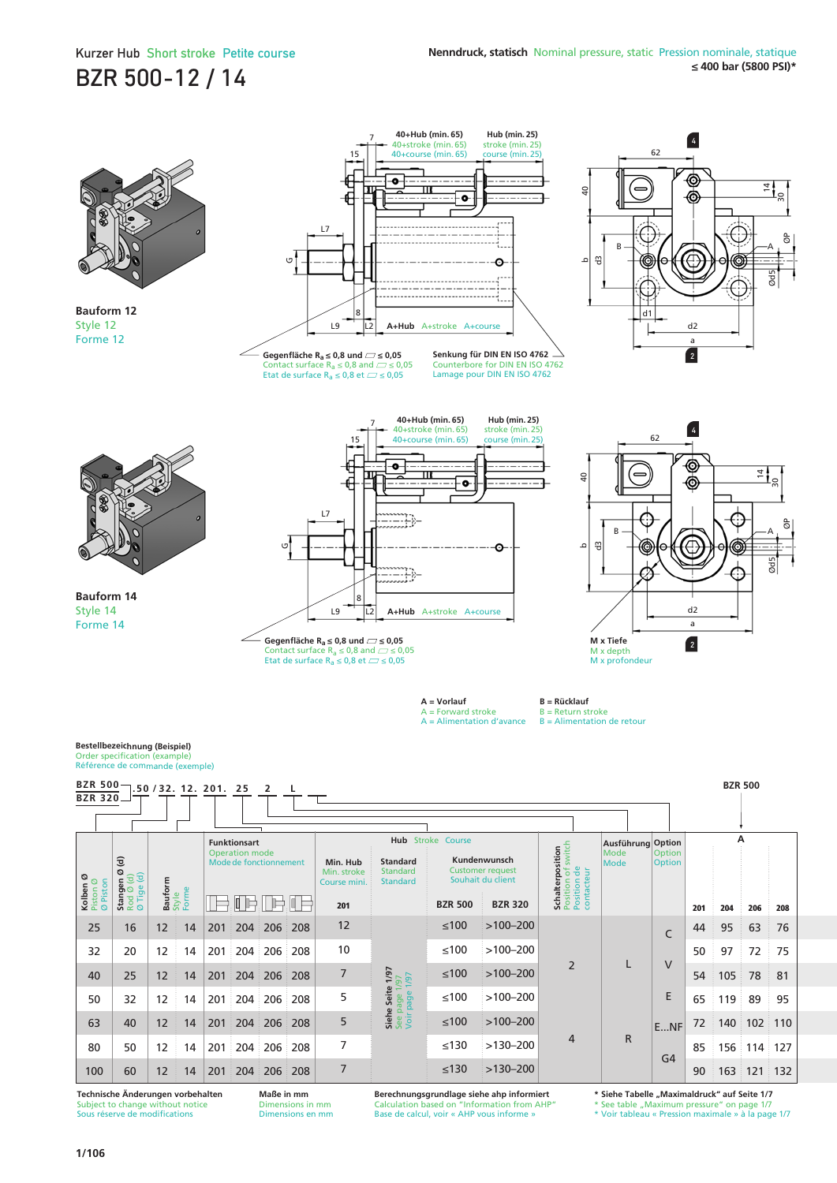#### Kurzer Hub Short stroke Petite course BZR 500-12 / 14



**Bauform 12** Style 12 Forme 12







**Bauform 14** Style 14 Forme 14





**A = Vorlauf** A = Forward stroke A = Alimentation d'avance **B = Rücklauf**

B = Return stroke B = Alimentation de retour

**Bestellbezeichnung (Beispiel)**

Order specification (example) Référence de commande (exemple)



**Technische Änderungen vorbehalten** ubject to change without notice Sous réserve de modifications

**Maße in mm** Dimensions in mm Dimensions en mm **Berechnungsgrundlage siehe ahp informiert**  Calculation based on "Information from AHP Base de calcul, voir « AHP vous informe »

**\* Siehe Tabelle "Maximaldruck" auf Seite 1/7** 

ee table "Maximum pressure" on page 1/7 \* Voir tableau « Pression maximale » à la page 1/7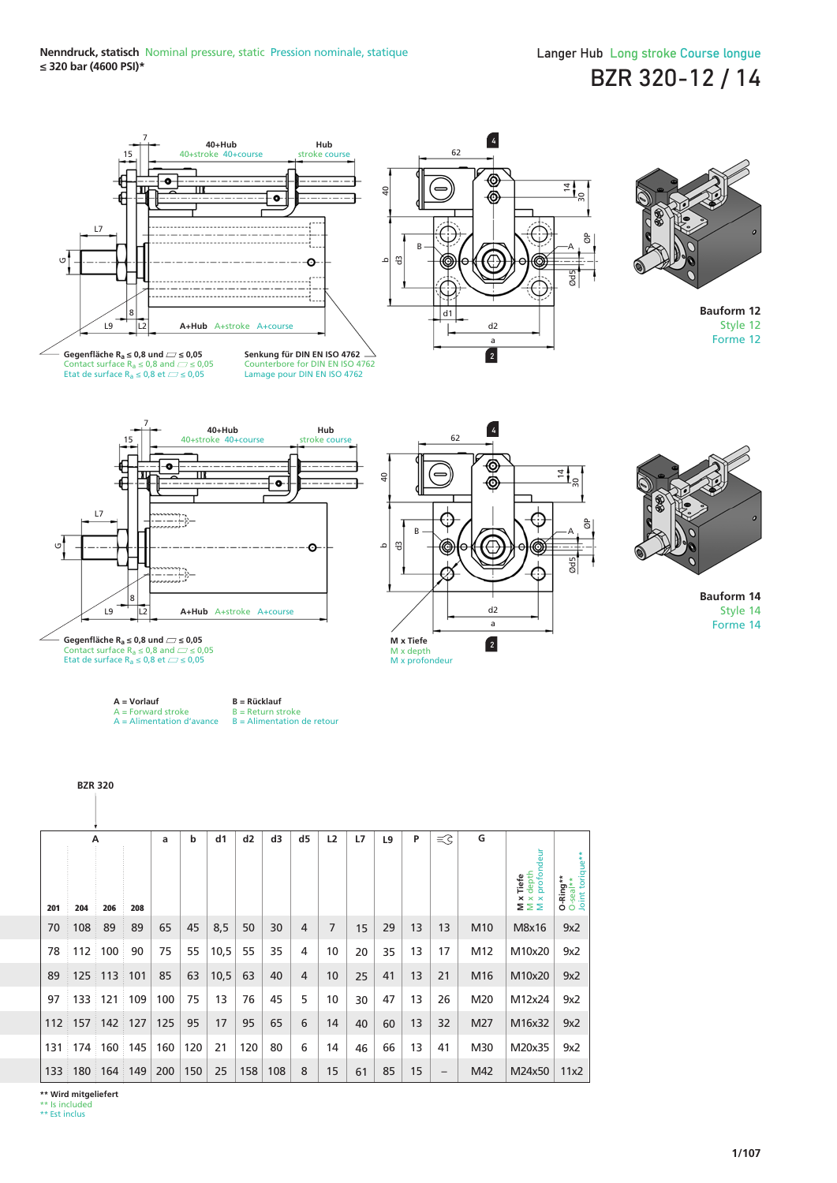

**M x Tiefe** M x depth M x profondeur 2

**Gegenfläche R<sub>a</sub> ≤ 0,8 und ∠ ≤ 0,05**<br>Contact surface R<sub>a</sub> ≤ 0,8 and ∠ ≤ 0,05<br>Etat de surface R<sub>a</sub> ≤ 0,8 et ∠ ≤ 0,05

**BZR 320**

**A = Vorlauf** A = Forward stroke A = Alimentation d'avance

**B = Rücklauf**

B = Return stroke B = Alimentation de retour



**\*\* Wird mitgeliefert**

Is included \*\* Est inclus

Forme 12

**Bauform 14** Style 14 Forme 14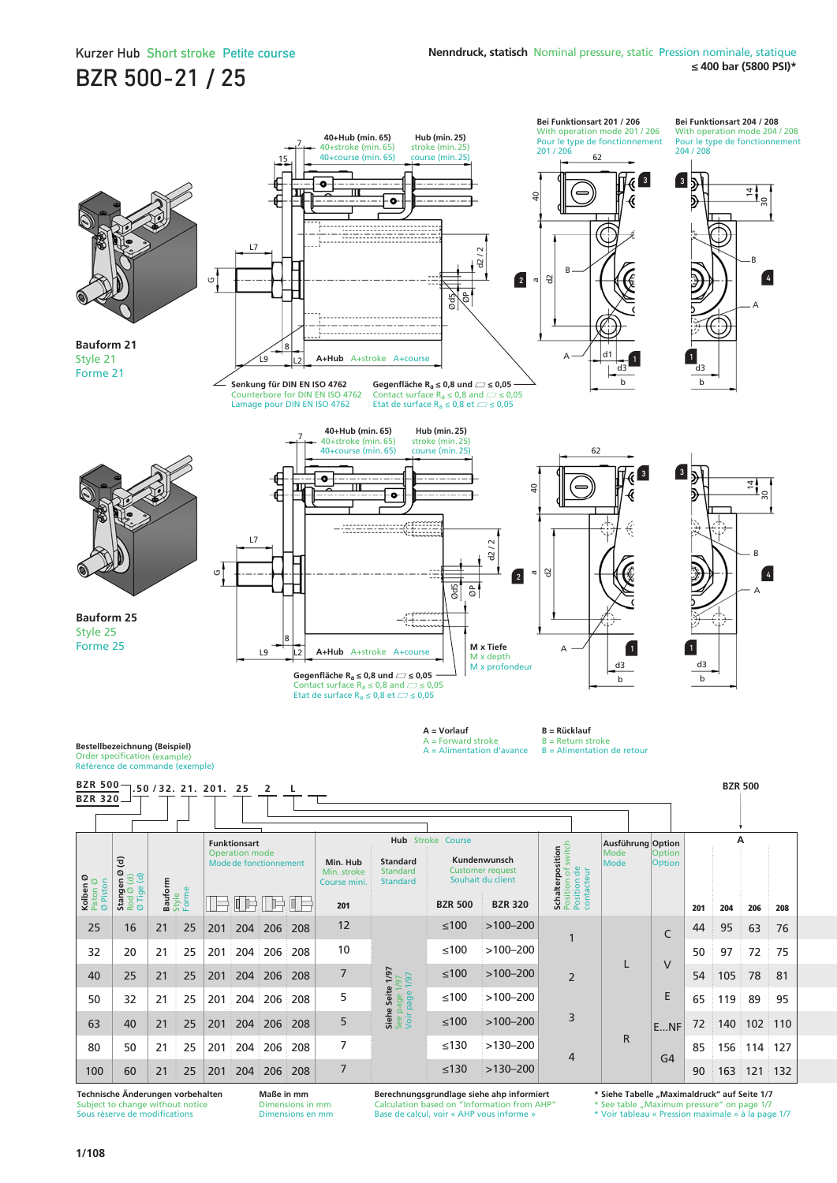#### Kurzer Hub Short stroke Petite course BZR 500-21 / 25

#### **Bei Funktionsart 201 / 206 Bei Funktionsart 204 / 208** With operation mode 201/206<br>Pour le type de fonctionnement With operation mode 204 / 208 **40+Hub (min. 65) Hub (min. 25)**  Pour Le type de fonctionnement Pour le type de fonctionnement 7 40+stroke (min. 65) stroke (min. 25) 201 / 206 204 / 208 40+course (min.  $\hat{c}$  min. 25 62 15  $\mathbb{R}$ <sup>3</sup> 3 ō  $\frac{1}{4}$ ш m  $\frac{14}{14}$  $\supseteq$ € a  $40$ ₫ d € L7 d2 / 2 B J d2 4 G $\boxed{2}$ aØd5 ØP A .............................. **Bauform 21** 8 d1 Style 21 **A+Hub** A+stroke A+course A 1 1  $L9$   $L2$ d3 -<br>สว Forme 21 b b **Senkung für DIN EN ISO 4762** Gegenfläche  $R_a \leq 0.8$  und  $\Box \leq 0.05$ Counterbore for DIN EN ISO 4762 Contact surface  $R_a \le 0.8$  and  $\Box \le 0.05$ <br>Etat de surface  $R_a \le 0.8$  et  $\Box \le 0.05$ Lamage pour DIN EN ISO 4762 **40+Hub (min. 65) Hub (min. 25)**  7 40+stroke (min. 65) 40+course (min. 65) stroke (min. 25) course (min. 25) 62 3  $\sqrt{\frac{2}{3}}$  $\overline{\bullet}$  $\overline{\mathbf{u}}$  $\vec{H}^{\text{u}}$  $\subseteq$ a  $\frac{40}{\pi}$ a 5 - 0 ££ L7 d2 / 2 B **Rest** Gd2 a4 2 Ød5 ØP A **Bauform 25** 41 Style 25 8 Forme 25 **A+Hub** A+stroke A+course **M x Tiefe** 1 1 A  $L9$   $L2$ M x depth M x profondeur d3 d3 **Gegenfläche Ra ≤ 0,8 und ≤ 0,05** b b Contact surface R<sub>a</sub>  $\leq$  0,8 and  $\Box \leq$  0,05<br>Etat de surface R<sub>a</sub>  $\leq$  0,8 et  $\Box \leq$  0,05 **A = Vorlauf B = Rücklauf** A = Forward stroke A = Alimentation d'avance B = Return stroke B = Alimentation de retour **Bestellbezeichnung (Beispiel)** Order specification (example) Référence de commande (exemple) **BZR 500 .50 / 32. 21. 201. 25 BZR 500 2 L BZR 320 Hub** Stroke Course **A Funktionsart Schalterposition**<br>Position of switch<br>Position de<br>contacteur Ausführung Option Position of switch **Schalterposition**  Operation mode Mode Option Option **Stangen Ø (d)** Mode de fonction **Min. Hub Standard Kundenwunsch** Mode Position de Min. stroke Standard Customer request Souhait du client Rod Ø (d) Ø Tige (d) **Kolben Ø** Piston Ø Ø Piston Course mini. Standard **Bauform** Style Forme 医帕帕帕 **BZR 500 BZR 320** 201 201 204 206 208 25 16 21 25 201 208 12 ≤100 >100–200 95 76 44 63 204 206 C 110 ≤100 >100–200 32  $20$ 21 25 201 204 206 208 50 97 72 75 L  $\overline{V}$ **Siehe Seite 1/97**<br>See page 1/97<br>Voir page 1/97 7 ≤100 >100–200  $40$ 25 201 ່າດຂ 78  $25$  $21$ 54 105 81 204 206 2 5 ≤100 >100–200 E 50 32 21 25 201 204 206 208 65 119 89 95 3 5 ≤100 >100–200 63 40 21 25 201 204 206 208 72 140 102 110 E...NF R 7 ≤130 >130–200 80 50 21 25 201 204 206 208 85 156 114 127 4  $G<sub>4</sub>$ 7 ≤130 >130–200 100 60 21 25 201 204 206 208 90 163 121 132

**Technische Änderungen vorbehalten** ubject to change without notice Sous réserve de modifications

**Maße in mm** Dimensions in mm Dimensions en mm **Berechnungsgrundlage siehe ahp informiert**  Calculation based on "Information from AHP Base de calcul, voir « AHP vous informe »

**\* Siehe Tabelle "Maximaldruck" auf Seite 1/7**  ee table "Maximum pressure" on page 1/7

\* Voir tableau « Pression maximale » à la page 1/7

**1/108**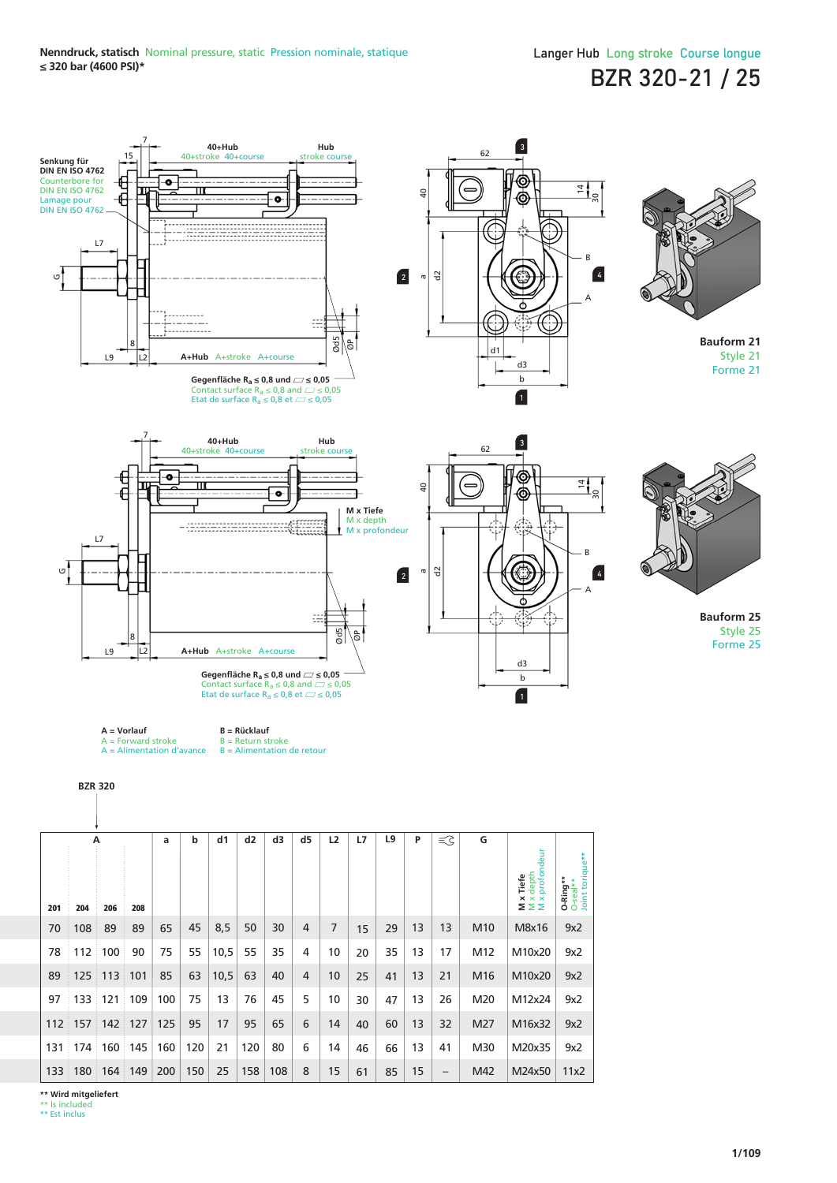

B = Return stroke B = Alimentation de retour



|     | A   |     |     | a   | b   | d1   | d <sub>2</sub> | d3  | d5             | L2 | L7 | L9 | P  | $\equiv$ $\uparrow$ | G               |                                                              |                                                 |
|-----|-----|-----|-----|-----|-----|------|----------------|-----|----------------|----|----|----|----|---------------------|-----------------|--------------------------------------------------------------|-------------------------------------------------|
| 201 | 204 | 206 | 208 |     |     |      |                |     |                |    |    |    |    |                     |                 | ă<br><b>x Tiefe</b><br>x depth<br>x profonde<br>Tiefe<br>ΣΣΣ | torique**<br>O-Ring**<br>O-seal**<br>Joint tori |
| 70  | 108 | 89  | 89  | 65  | 45  | 8,5  | 50             | 30  | 4              | 7  | 15 | 29 | 13 | 13                  | M <sub>10</sub> | M8x16                                                        | 9x2                                             |
| 78  | 112 | 100 | 90  | 75  | 55  | 10,5 | 55             | 35  | 4              | 10 | 20 | 35 | 13 | 17                  | M12             | M10x20                                                       | 9x2                                             |
| 89  | 125 | 113 | 101 | 85  | 63  | 10,5 | 63             | 40  | $\overline{4}$ | 10 | 25 | 41 | 13 | 21                  | M16             | M10x20                                                       | 9x2                                             |
| 97  | 133 | 121 | 109 | 100 | 75  | 13   | 76             | 45  | 5              | 10 | 30 | 47 | 13 | 26                  | M20             | M12x24                                                       | 9x2                                             |
| 112 | 157 | 142 | 127 | 125 | 95  | 17   | 95             | 65  | 6              | 14 | 40 | 60 | 13 | 32                  | M27             | M16x32                                                       | 9x2                                             |
| 131 | 174 | 160 | 145 | 160 | 120 | 21   | 120            | 80  | 6              | 14 | 46 | 66 | 13 | 41                  | M30             | M20x35                                                       | 9x2                                             |
| 133 | 180 | 164 | 149 | 200 | 150 | 25   | 158            | 108 | 8              | 15 | 61 | 85 | 15 | -                   | M42             | M24x50                                                       | 11x2                                            |

**\*\* Wird mitgeliefert**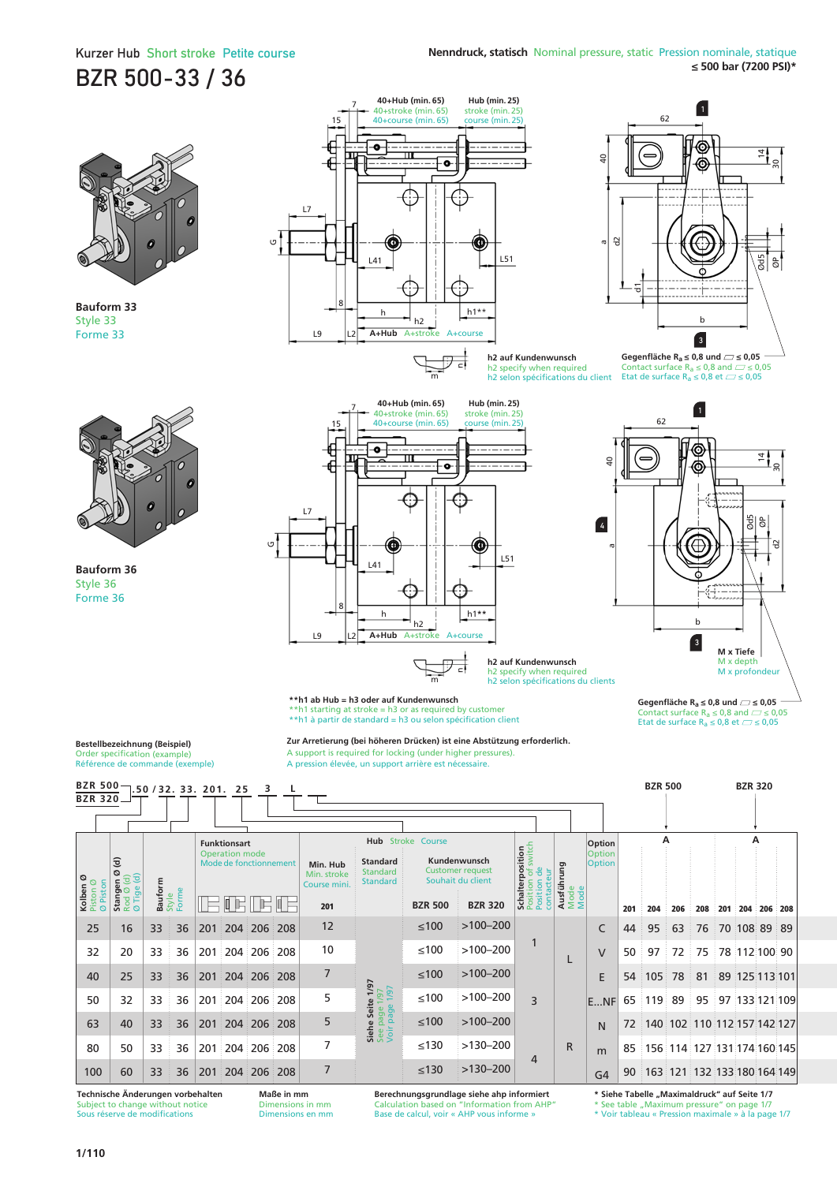### Kurzer Hub Short stroke Petite course BZR 500-33 / 36



**Bauform 33** Style 33 Forme 33



**Bestellbezeichnung (Beispiel)** Order specification (example) Référence de commande (exemple)

**Bauform 36** Style 36 Forme 36





**h2 auf Kundenwunsch** h2 specify when required h2 selon spécifications du client

**Gegenfläche R<sub>a</sub>**  $\leq$  **0,8 und**  $\Box$  $\leq$  **0,05** Contact surface  $R_a \le 0.8$  and  $\Box \le 0.05$ <br>Etat de surface  $R_a \le 0.8$  et  $\Box \le 0.05$ 



m

G



Gegenfläche  $R_a \leq 0.8$  und  $\Box \leq 0.05$ Contact surface  $R_a \le 0.8$  and  $\Box \le 0.05$ <br>Etat de surface  $R_a \le 0.8$  et  $\Box \le 0.05$ 

h2 specify when required h<sub>2</sub> selon spécifications du clients

**\*\*h1 ab Hub = h3 oder auf Kundenwunsch**

\*\* h1 starting at stroke = h3 or as required by customer \*\* h1 à partir de standard = h3 ou selon spécification client

**Zur Arretierung (bei höheren Drücken) ist eine Abstützung erforderlich.** A support is required for locking (under higher pressures). A pression élevée, un support arrière est nécessaire.

m

| <b>BZR 500-</b>                       |                                                                     |         |                | .50 / 32.33.201. | 25                                                                     |             |     |                                         |                                                       |                          |                                                              |                                                  |                              |                                   |     | <b>BZR 500</b> |     |                             | <b>BZR 320</b> |                 |    |
|---------------------------------------|---------------------------------------------------------------------|---------|----------------|------------------|------------------------------------------------------------------------|-------------|-----|-----------------------------------------|-------------------------------------------------------|--------------------------|--------------------------------------------------------------|--------------------------------------------------|------------------------------|-----------------------------------|-----|----------------|-----|-----------------------------|----------------|-----------------|----|
| <b>BZR 320-</b>                       |                                                                     |         |                |                  |                                                                        |             |     |                                         |                                                       |                          |                                                              |                                                  |                              |                                   |     |                |     |                             |                |                 |    |
| ø<br>Kolben Ø<br>Piston Ø<br>Ø Piston | ত্ত<br>ø<br>$\widehat{\sigma}$<br>Stangen<br>Rod Ø (d)<br>Ø Tige (d | ε       |                |                  | <b>Funktionsart</b><br><b>Operation mode</b><br>Mode de fonctionnement |             |     | Min. Hub<br>Min. stroke<br>Course mini. | <b>Standard</b><br><b>Standard</b><br><b>Standard</b> | <b>Hub</b> Stroke Course | Kundenwunsch<br><b>Customer request</b><br>Souhait du client | position<br>of switch<br>ಕಿ<br>cteur<br>Position | 5<br>Ausführ<br>Mode<br>Mode | Option<br>Option<br><b>Option</b> |     |                | А   |                             |                | А               |    |
|                                       |                                                                     | Baufori | Style<br>Forme |                  | ∐ ⊫                                                                    |             |     | 201                                     |                                                       | <b>BZR 500</b>           | <b>BZR 320</b>                                               | conta<br>Schi<br>Posi                            |                              |                                   | 201 | 204            | 206 | 208                         |                | 201 204 206 208 |    |
| 25                                    | 16                                                                  | 33      | 36             | 201              |                                                                        | 204 206 208 |     | 12                                      |                                                       | $≤100$                   | $>100 - 200$                                                 |                                                  |                              | C                                 | 44  | 95             | 63  | 76                          |                | 70 108 89       | 89 |
| 32                                    | 20                                                                  | 33      | 36             | 201              |                                                                        | 204 206     | 208 | 10                                      |                                                       | $≤100$                   | $>100-200$                                                   |                                                  |                              | V                                 | 50  | 97             | 72  | 75                          |                | 78 112 100 90   |    |
| 40                                    | 25                                                                  | 33      | 36             | 201              | 204 206                                                                |             | 208 | $\overline{7}$                          |                                                       | $≤100$                   | $>100 - 200$                                                 |                                                  |                              | E                                 | 54  | 105            | 78  | 81                          |                | 89 125 113 101  |    |
| 50                                    | 32                                                                  | 33      | 36             | 201              |                                                                        | 204 206     | 208 | 5                                       | e 1/97<br>1/97<br>1/97<br>Seite                       | ≤100                     | $>100 - 200$                                                 | 3                                                |                              | ENF                               | 65  | 119 89         |     | 95                          |                | 97 133 121 109  |    |
| 63                                    | 40                                                                  | 33      | 36             | 201              | 204 206                                                                |             | 208 | 5                                       | Siehe Seite<br>See page 1<br>Voir page                | $≤100$                   | $>100 - 200$                                                 |                                                  |                              | N                                 | 72  |                |     | 140 102 110 112 157 142 127 |                |                 |    |
| 80                                    | 50                                                                  | 33      | 36             | 201              |                                                                        | 204 206     | 208 | 7                                       |                                                       | $≤130$                   | $>130-200$                                                   |                                                  | R                            | m                                 | 85  |                |     | 156 114 127 131 174 160 145 |                |                 |    |
| 100                                   | 60                                                                  | 33      | 36             | 201              | 204 206                                                                |             | 208 | 7                                       |                                                       | $≤130$                   | $>130-200$                                                   | 4                                                |                              | G <sub>4</sub>                    | 90  |                |     | 163 121 132 133 180 164 149 |                |                 |    |

**Technische Änderungen vorbehalten** ubject to change without notice Sous réserve de modifications

**Maße in mm** Dimensions in mm Dimensions en mm **Berechnungsgrundlage siehe ahp informiert**  Calculation based on "Information from AHP" Base de calcul, voir « AHP vous informe » **\* Siehe Tabelle "Maximaldruck" auf Seite 1/7**  were rabelle "whaximum ack" aur selle 17

\* Voir tableau « Pression maximale » à la page 1/7